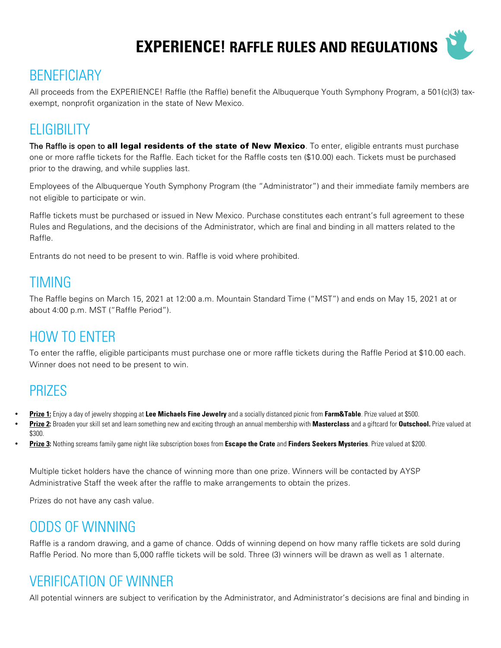**EXPERIENCE! RAFFLE RULES AND REGULATIONS**



### **BENEFICIARY**

All proceeds from the EXPERIENCE! Raffle (the Raffle) benefit the Albuquerque Youth Symphony Program, a 501(c)(3) taxexempt, nonprofit organization in the state of New Mexico.

#### **ELIGIBILITY**

The Raffle is open to all legal residents of the state of New Mexico. To enter, eligible entrants must purchase one or more raffle tickets for the Raffle. Each ticket for the Raffle costs ten (\$10.00) each. Tickets must be purchased prior to the drawing, and while supplies last.

Employees of the Albuquerque Youth Symphony Program (the "Administrator") and their immediate family members are not eligible to participate or win.

Raffle tickets must be purchased or issued in New Mexico. Purchase constitutes each entrant's full agreement to these Rules and Regulations, and the decisions of the Administrator, which are final and binding in all matters related to the Raffle.

Entrants do not need to be present to win. Raffle is void where prohibited.

#### TIMING

The Raffle begins on March 15, 2021 at 12:00 a.m. Mountain Standard Time ("MST") and ends on May 15, 2021 at or about 4:00 p.m. MST ("Raffle Period").

### HOW TO ENTER

To enter the raffle, eligible participants must purchase one or more raffle tickets during the Raffle Period at \$10.00 each. Winner does not need to be present to win.

#### PRIZES

- **Prize 1:** Enjoy a day of jewelry shopping at **Lee Michaels Fine Jewelry** and a socially distanced picnic from **Farm&Table**. Prize valued at \$500.
- **Prize 2:** Broaden your skill set and learn something new and exciting through an annual membership with **Masterclass** and a giftcard for **Outschool.** Prize valued at \$300.
- **Prize 3:** Nothing screams family game night like subscription boxes from **Escape the Crate** and **Finders Seekers Mysteries**. Prize valued at \$200.

Multiple ticket holders have the chance of winning more than one prize. Winners will be contacted by AYSP Administrative Staff the week after the raffle to make arrangements to obtain the prizes.

Prizes do not have any cash value.

#### ODDS OF WINNING

Raffle is a random drawing, and a game of chance. Odds of winning depend on how many raffle tickets are sold during Raffle Period. No more than 5,000 raffle tickets will be sold. Three (3) winners will be drawn as well as 1 alternate.

### VERIFICATION OF WINNER

All potential winners are subject to verification by the Administrator, and Administrator's decisions are final and binding in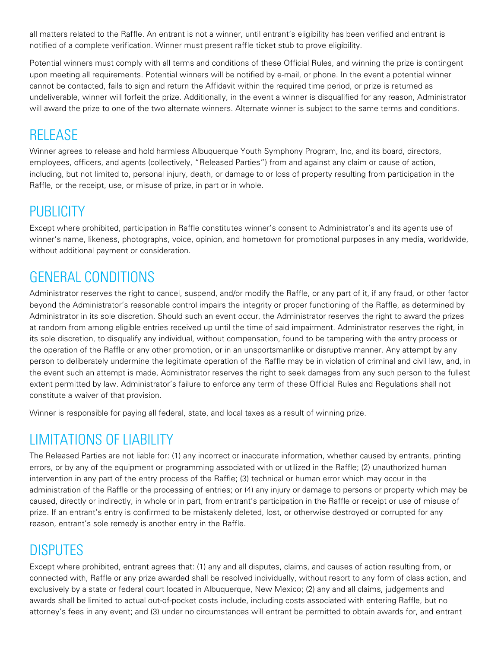all matters related to the Raffle. An entrant is not a winner, until entrant's eligibility has been verified and entrant is notified of a complete verification. Winner must present raffle ticket stub to prove eligibility.

Potential winners must comply with all terms and conditions of these Official Rules, and winning the prize is contingent upon meeting all requirements. Potential winners will be notified by e-mail, or phone. In the event a potential winner cannot be contacted, fails to sign and return the Affidavit within the required time period, or prize is returned as undeliverable, winner will forfeit the prize. Additionally, in the event a winner is disqualified for any reason, Administrator will award the prize to one of the two alternate winners. Alternate winner is subject to the same terms and conditions.

## RELEASE

Winner agrees to release and hold harmless Albuquerque Youth Symphony Program, Inc, and its board, directors, employees, officers, and agents (collectively, "Released Parties") from and against any claim or cause of action, including, but not limited to, personal injury, death, or damage to or loss of property resulting from participation in the Raffle, or the receipt, use, or misuse of prize, in part or in whole.

## PUBLICITY

Except where prohibited, participation in Raffle constitutes winner's consent to Administrator's and its agents use of winner's name, likeness, photographs, voice, opinion, and hometown for promotional purposes in any media, worldwide, without additional payment or consideration.

## GENERAL CONDITIONS

Administrator reserves the right to cancel, suspend, and/or modify the Raffle, or any part of it, if any fraud, or other factor beyond the Administrator's reasonable control impairs the integrity or proper functioning of the Raffle, as determined by Administrator in its sole discretion. Should such an event occur, the Administrator reserves the right to award the prizes at random from among eligible entries received up until the time of said impairment. Administrator reserves the right, in its sole discretion, to disqualify any individual, without compensation, found to be tampering with the entry process or the operation of the Raffle or any other promotion, or in an unsportsmanlike or disruptive manner. Any attempt by any person to deliberately undermine the legitimate operation of the Raffle may be in violation of criminal and civil law, and, in the event such an attempt is made, Administrator reserves the right to seek damages from any such person to the fullest extent permitted by law. Administrator's failure to enforce any term of these Official Rules and Regulations shall not constitute a waiver of that provision.

Winner is responsible for paying all federal, state, and local taxes as a result of winning prize.

## LIMITATIONS OF LIABILITY

The Released Parties are not liable for: (1) any incorrect or inaccurate information, whether caused by entrants, printing errors, or by any of the equipment or programming associated with or utilized in the Raffle; (2) unauthorized human intervention in any part of the entry process of the Raffle; (3) technical or human error which may occur in the administration of the Raffle or the processing of entries; or (4) any injury or damage to persons or property which may be caused, directly or indirectly, in whole or in part, from entrant's participation in the Raffle or receipt or use of misuse of prize. If an entrant's entry is confirmed to be mistakenly deleted, lost, or otherwise destroyed or corrupted for any reason, entrant's sole remedy is another entry in the Raffle.

# DISPUTES

Except where prohibited, entrant agrees that: (1) any and all disputes, claims, and causes of action resulting from, or connected with, Raffle or any prize awarded shall be resolved individually, without resort to any form of class action, and exclusively by a state or federal court located in Albuquerque, New Mexico; (2) any and all claims, judgements and awards shall be limited to actual out-of-pocket costs include, including costs associated with entering Raffle, but no attorney's fees in any event; and (3) under no circumstances will entrant be permitted to obtain awards for, and entrant